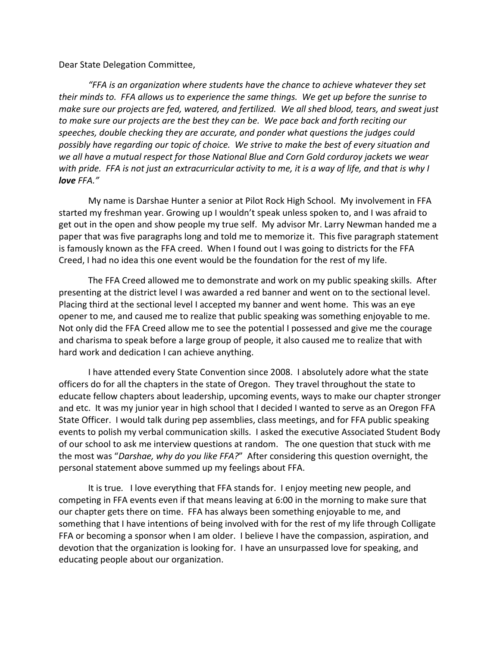## Dear State Delegation Committee,

*"FFA is an organization where students have the chance to achieve whatever they set* their minds to. FFA allows us to experience the same things. We get up before the sunrise to *make sure our projects are fed, watered, and fertilized. We all shed blood, tears, and sweat just to make sure our projects are the best they can be. We pace back and forth reciting our speeches, double checking they are accurate, and ponder what questions the judges could possibly have regarding our topic of choice. We strive to make the best of every situation and we all have a mutual respect for those National Blue and Corn Gold corduroy jackets we wear* with pride. FFA is not just an extracurricular activity to me, it is a way of life, and that is why I *love FFA."*

My name is Darshae Hunter a senior at Pilot Rock High School. My involvement in FFA started my freshman year. Growing up I wouldn't speak unless spoken to, and I was afraid to get out in the open and show people my true self. My advisor Mr. Larry Newman handed me a paper that was five paragraphs long and told me to memorize it. This five paragraph statement is famously known as the FFA creed. When I found out I was going to districts for the FFA Creed, I had no idea this one event would be the foundation for the rest of my life.

The FFA Creed allowed me to demonstrate and work on my public speaking skills. After presenting at the district level I was awarded a red banner and went on to the sectional level. Placing third at the sectional level I accepted my banner and went home. This was an eye opener to me, and caused me to realize that public speaking was something enjoyable to me. Not only did the FFA Creed allow me to see the potential I possessed and give me the courage and charisma to speak before a large group of people, it also caused me to realize that with hard work and dedication I can achieve anything.

I have attended every State Convention since 2008. I absolutely adore what the state officers do for all the chapters in the state of Oregon. They travel throughout the state to educate fellow chapters about leadership, upcoming events, ways to make our chapter stronger and etc. It was my junior year in high school that I decided I wanted to serve as an Oregon FFA State Officer. I would talk during pep assemblies, class meetings, and for FFA public speaking events to polish my verbal communication skills. I asked the executive Associated Student Body of our school to ask me interview questions at random. The one question that stuck with me the most was "*Darshae, why do you like FFA?*" After considering this question overnight, the personal statement above summed up my feelings about FFA.

It is true*.* I love everything that FFA stands for. I enjoy meeting new people, and competing in FFA events even if that means leaving at 6:00 in the morning to make sure that our chapter gets there on time. FFA has always been something enjoyable to me, and something that I have intentions of being involved with for the rest of my life through Colligate FFA or becoming a sponsor when I am older. I believe I have the compassion, aspiration, and devotion that the organization is looking for. I have an unsurpassed love for speaking, and educating people about our organization.